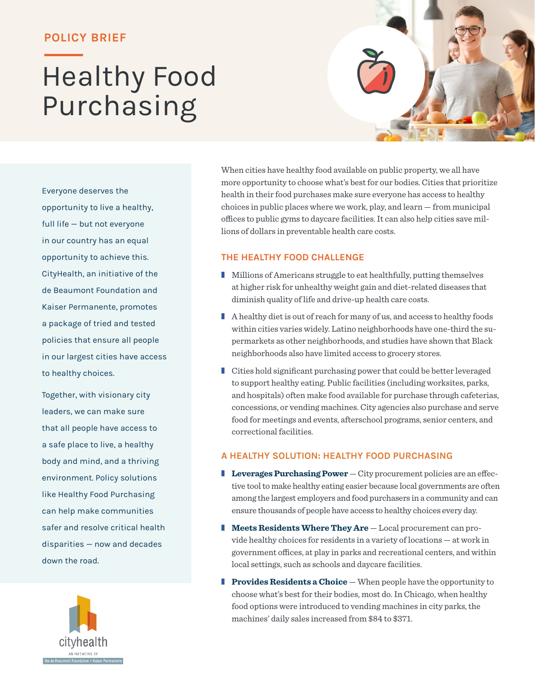### **POLICY BRIEF**

# Healthy Food Purchasing

Everyone deserves the opportunity to live a healthy, full life — but not everyone in our country has an equal opportunity to achieve this. CityHealth, an initiative of the de Beaumont Foundation and Kaiser Permanente, promotes a package of tried and tested policies that ensure all people in our largest cities have access to healthy choices.

Together, with visionary city leaders, we can make sure that all people have access to a safe place to live, a healthy body and mind, and a thriving environment. Policy solutions like Healthy Food Purchasing can help make communities safer and resolve critical health disparities — now and decades down the road.



When cities have healthy food available on public property, we all have more opportunity to choose what's best for our bodies. Cities that prioritize health in their food purchases make sure everyone has access to healthy choices in public places where we work, play, and learn — from municipal offices to public gyms to daycare facilities. It can also help cities save millions of dollars in preventable health care costs.

#### **THE HEALTHY FOOD CHALLENGE**

- Millions of Americans struggle to eat healthfully, putting themselves at higher risk for unhealthy weight gain and diet-related diseases that diminish quality of life and drive-up health care costs.
- A healthy diet is out of reach for many of us, and access to healthy foods within cities varies widely. Latino neighborhoods have one-third the supermarkets as other neighborhoods, and studies have shown that Black neighborhoods also have limited access to grocery stores.
- Cities hold significant purchasing power that could be better leveraged to support healthy eating. Public facilities (including worksites, parks, and hospitals) often make food available for purchase through cafeterias, concessions, or vending machines. City agencies also purchase and serve food for meetings and events, afterschool programs, senior centers, and correctional facilities.

#### **A HEALTHY SOLUTION: HEALTHY FOOD PURCHASING**

- Leverages Purchasing Power City procurement policies are an effective tool to make healthy eating easier because local governments are often among the largest employers and food purchasers in a community and can ensure thousands of people have access to healthy choices every day.
- **Meets Residents Where They Are** Local procurement can provide healthy choices for residents in a variety of locations — at work in government offices, at play in parks and recreational centers, and within local settings, such as schools and daycare facilities.
- **Provides Residents a Choice** When people have the opportunity to choose what's best for their bodies, most do. In Chicago, when healthy food options were introduced to vending machines in city parks, the machines' daily sales increased from \$84 to \$371.